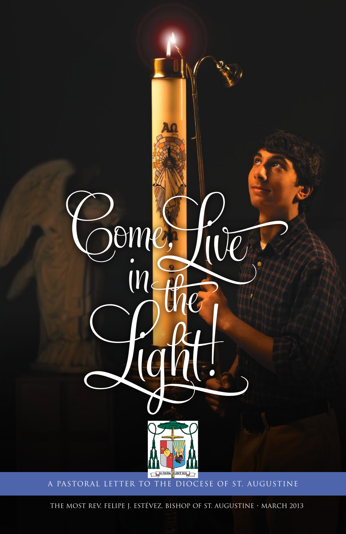

THE MOST REV. FELIPE J. ESTÉVEZ, BISHOP OF ST. AUGUSTINE • MARCH 2013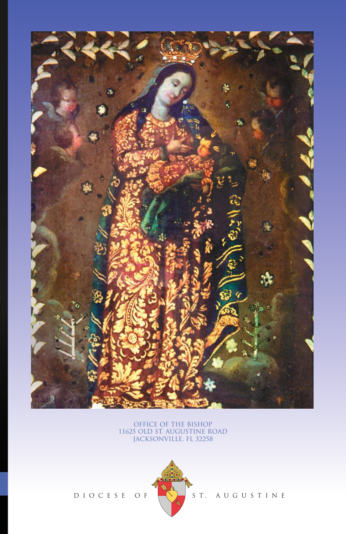

OFFICE OF THE BISHOP 11625 OLD ST. AUGUSTINE ROAD JACKSONVILLE, FL 32258



DIOCESE OF  $\left[\begin{array}{c} \sqrt{5} \\ \sqrt{5} \end{array}\right]$  st. AUGUSTINE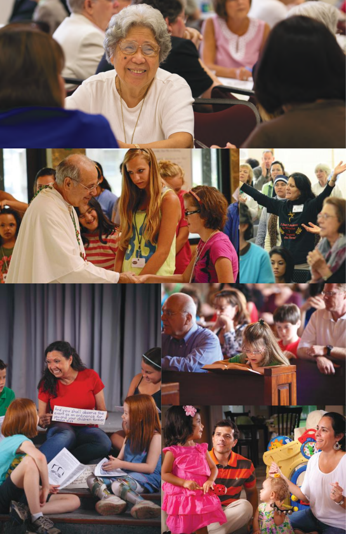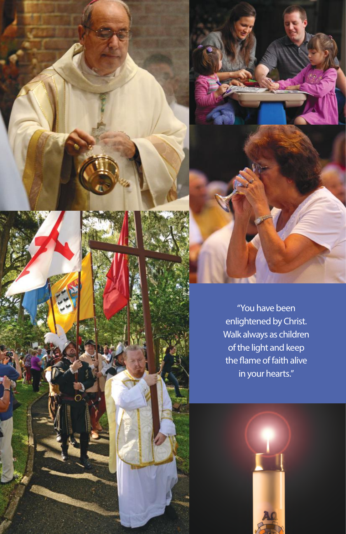





"You have been enlightened by Christ. Walk always as children of the light and keep the flame of faith alive in your hearts."

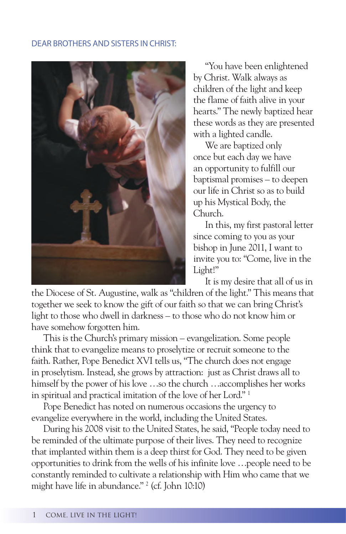#### DEAR BROTHERS AND SISTERS IN CHRIST:



"You have been enlightened by Christ. Walk always as children of the light and keep the flame of faith alive in your hearts." The newly baptized hear these words as they are presented with a lighted candle.

We are baptized only once but each day we have an opportunity to fulfill our baptismal promises – to deepen our life in Christ so as to build up his Mystical Body, the Church.

In this, my first pastoral letter since coming to you as your bishop in June 2011, I want to invite you to: "Come, live in the Light!"

It is my desire that all of us in

the Diocese of St. Augustine, walk as "children of the light." This means that together we seek to know the gift of our faith so that we can bring Christ's light to those who dwell in darkness – to those who do not know him or have somehow forgotten him.

This is the Church's primary mission – evangelization. Some people think that to evangelize means to proselytize or recruit someone to the faith. Rather, Pope Benedict XVI tells us, "The church does not engage in proselytism. Instead, she grows by attraction: just as Christ draws all to himself by the power of his love …so the church …accomplishes her works in spiritual and practical imitation of the love of her Lord." 1

Pope Benedict has noted on numerous occasions the urgency to evangelize everywhere in the world, including the United States.

During his 2008 visit to the United States, he said, "People today need to be reminded of the ultimate purpose of their lives. They need to recognize that implanted within them is a deep thirst for God. They need to be given opportunities to drink from the wells of his infinite love …people need to be constantly reminded to cultivate a relationship with Him who came that we might have life in abundance." 2 (cf. John 10:10)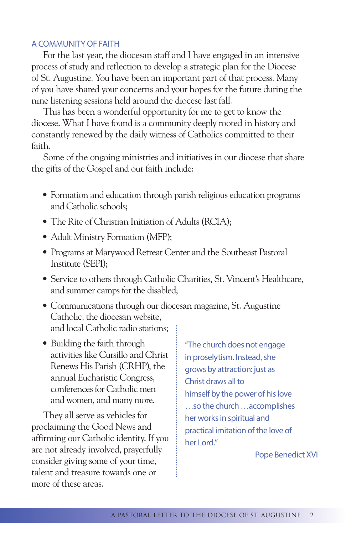### A COMMUNITY OF FAITH

For the last year, the diocesan staff and I have engaged in an intensive process of study and reflection to develop a strategic plan for the Diocese of St. Augustine. You have been an important part of that process. Many of you have shared your concerns and your hopes for the future during the nine listening sessions held around the diocese last fall.

This has been a wonderful opportunity for me to get to know the diocese. What I have found is a community deeply rooted in history and constantly renewed by the daily witness of Catholics committed to their faith.

Some of the ongoing ministries and initiatives in our diocese that share the gifts of the Gospel and our faith include:

- Formation and education through parish religious education programs and Catholic schools;
- The Rite of Christian Initiation of Adults (RCIA);
- Adult Ministry Formation (MFP);
- Programs at Marywood Retreat Center and the Southeast Pastoral Institute (SEPI);
- Service to others through Catholic Charities, St. Vincent's Healthcare, and summer camps for the disabled;
- Communications through our diocesan magazine, St. Augustine Catholic, the diocesan website, and local Catholic radio stations;
- Building the faith through activities like Cursillo and Christ Renews His Parish (CRHP), the annual Eucharistic Congress, conferences for Catholic men and women, and many more.

They all serve as vehicles for proclaiming the Good News and affirming our Catholic identity. If you are not already involved, prayerfully consider giving some of your time, talent and treasure towards one or more of these areas.

"The church does not engage in proselytism. Instead, she grows by attraction: just as Christ draws all to himself by the power of his love …so the church …accomplishes her works in spiritual and practical imitation of the love of her Lord."

Pope Benedict XVI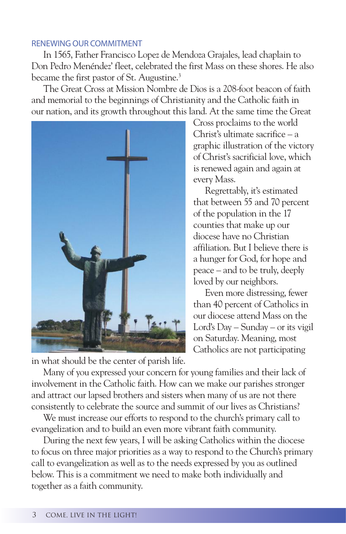### RENEWING OUR COMMITMENT

In 1565, Father Francisco Lopez de Mendoza Grajales, lead chaplain to Don Pedro Menéndez' fleet, celebrated the first Mass on these shores. He also became the first pastor of St. Augustine.<sup>3</sup>

The Great Cross at Mission Nombre de Dios is a 208-foot beacon of faith and memorial to the beginnings of Christianity and the Catholic faith in our nation, and its growth throughout this land. At the same time the Great



Cross proclaims to the world Christ's ultimate sacrifice – a graphic illustration of the victory of Christ's sacrificial love, which is renewed again and again at every Mass.

Regrettably, it's estimated that between 55 and 70 percent of the population in the 17 counties that make up our diocese have no Christian affiliation. But I believe there is a hunger for God, for hope and peace – and to be truly, deeply loved by our neighbors.

Even more distressing, fewer than 40 percent of Catholics in our diocese attend Mass on the Lord's Day – Sunday – or its vigil on Saturday. Meaning, most Catholics are not participating

in what should be the center of parish life.

Many of you expressed your concern for young families and their lack of involvement in the Catholic faith. How can we make our parishes stronger and attract our lapsed brothers and sisters when many of us are not there consistently to celebrate the source and summit of our lives as Christians?

We must increase our efforts to respond to the church's primary call to evangelization and to build an even more vibrant faith community.

During the next few years, I will be asking Catholics within the diocese to focus on three major priorities as a way to respond to the Church's primary call to evangelization as well as to the needs expressed by you as outlined below. This is a commitment we need to make both individually and together as a faith community.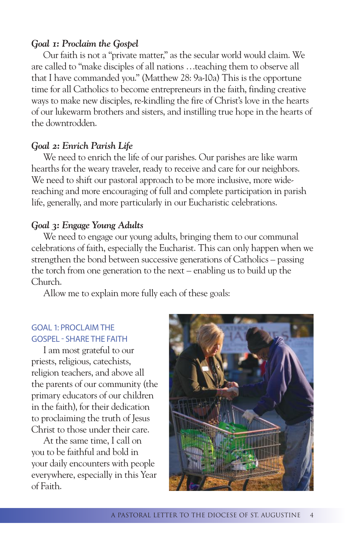## *Goal 1: Proclaim the Gospel*

Our faith is not a "private matter," as the secular world would claim. We are called to "make disciples of all nations …teaching them to observe all that I have commanded you." (Matthew 28: 9a-10a) This is the opportune time for all Catholics to become entrepreneurs in the faith, finding creative ways to make new disciples, re-kindling the fire of Christ's love in the hearts of our lukewarm brothers and sisters, and instilling true hope in the hearts of the downtrodden.

## *Goal 2: Enrich Parish Life*

We need to enrich the life of our parishes. Our parishes are like warm hearths for the weary traveler, ready to receive and care for our neighbors. We need to shift our pastoral approach to be more inclusive, more widereaching and more encouraging of full and complete participation in parish life, generally, and more particularly in our Eucharistic celebrations.

### *Goal 3: Engage Young Adults*

We need to engage our young adults, bringing them to our communal celebrations of faith, especially the Eucharist. This can only happen when we strengthen the bond between successive generations of Catholics – passing the torch from one generation to the next – enabling us to build up the Church.

Allow me to explain more fully each of these goals:

## GOAL 1: PROCLAIM THE GOSPEL - SHARE THE FAITH

I am most grateful to our priests, religious, catechists, religion teachers, and above all the parents of our community (the primary educators of our children in the faith), for their dedication to proclaiming the truth of Jesus Christ to those under their care.

At the same time, I call on you to be faithful and bold in your daily encounters with people everywhere, especially in this Year of Faith.

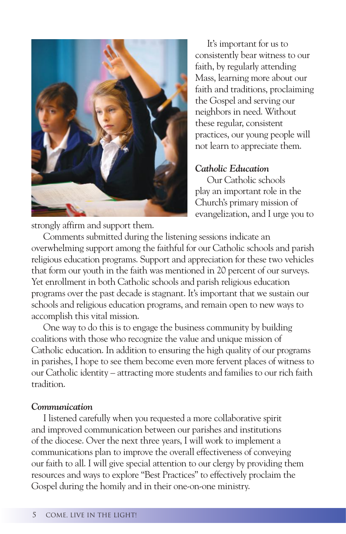

It's important for us to consistently bear witness to our faith, by regularly attending Mass, learning more about our faith and traditions, proclaiming the Gospel and serving our neighbors in need. Without these regular, consistent practices, our young people will not learn to appreciate them.

## *Catholic Education*

Our Catholic schools play an important role in the Church's primary mission of evangelization, and I urge you to

strongly affirm and support them.

Comments submitted during the listening sessions indicate an overwhelming support among the faithful for our Catholic schools and parish religious education programs. Support and appreciation for these two vehicles that form our youth in the faith was mentioned in 20 percent of our surveys. Yet enrollment in both Catholic schools and parish religious education programs over the past decade is stagnant. It's important that we sustain our schools and religious education programs, and remain open to new ways to accomplish this vital mission.

One way to do this is to engage the business community by building coalitions with those who recognize the value and unique mission of Catholic education. In addition to ensuring the high quality of our programs in parishes, I hope to see them become even more fervent places of witness to our Catholic identity – attracting more students and families to our rich faith tradition.

## *Communication*

I listened carefully when you requested a more collaborative spirit and improved communication between our parishes and institutions of the diocese. Over the next three years, I will work to implement a communications plan to improve the overall effectiveness of conveying our faith to all. I will give special attention to our clergy by providing them resources and ways to explore "Best Practices" to effectively proclaim the Gospel during the homily and in their one-on-one ministry.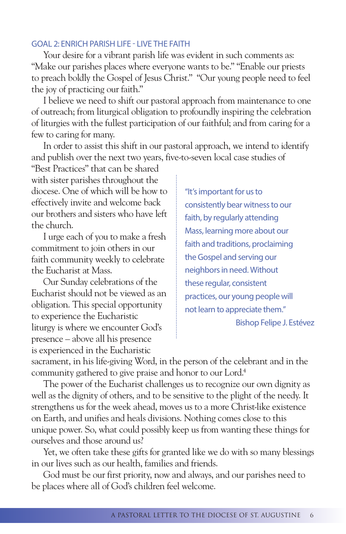### GOAL 2: ENRICH PARISH LIFE - LIVE THE FAITH

Your desire for a vibrant parish life was evident in such comments as: "Make our parishes places where everyone wants to be." "Enable our priests to preach boldly the Gospel of Jesus Christ." "Our young people need to feel the joy of practicing our faith."

I believe we need to shift our pastoral approach from maintenance to one of outreach; from liturgical obligation to profoundly inspiring the celebration of liturgies with the fullest participation of our faithful; and from caring for a few to caring for many.

In order to assist this shift in our pastoral approach, we intend to identify and publish over the next two years, five-to-seven local case studies of

"Best Practices" that can be shared with sister parishes throughout the diocese. One of which will be how to effectively invite and welcome back our brothers and sisters who have left the church.

I urge each of you to make a fresh commitment to join others in our faith community weekly to celebrate the Eucharist at Mass.

Our Sunday celebrations of the Eucharist should not be viewed as an obligation. This special opportunity to experience the Eucharistic liturgy is where we encounter God's presence – above all his presence is experienced in the Eucharistic

"It's important for us to consistently bear witness to our faith, by regularly attending Mass, learning more about our faith and traditions, proclaiming the Gospel and serving our neighbors in need. Without these regular, consistent practices, our young people will not learn to appreciate them." Bishop Felipe J. Estévez

sacrament, in his life-giving Word, in the person of the celebrant and in the community gathered to give praise and honor to our Lord.<sup>4</sup>

The power of the Eucharist challenges us to recognize our own dignity as well as the dignity of others, and to be sensitive to the plight of the needy. It strengthens us for the week ahead, moves us to a more Christ-like existence on Earth, and unifies and heals divisions. Nothing comes close to this unique power. So, what could possibly keep us from wanting these things for ourselves and those around us?

Yet, we often take these gifts for granted like we do with so many blessings in our lives such as our health, families and friends.

God must be our first priority, now and always, and our parishes need to be places where all of God's children feel welcome.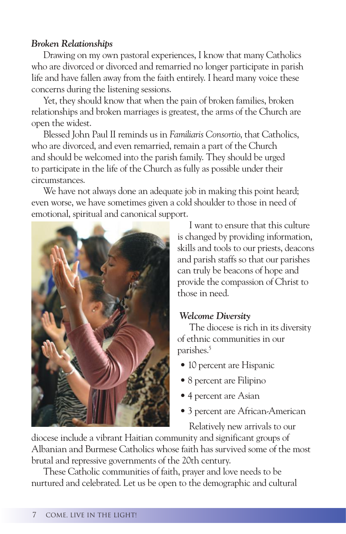# *Broken Relationships*

Drawing on my own pastoral experiences, I know that many Catholics who are divorced or divorced and remarried no longer participate in parish life and have fallen away from the faith entirely. I heard many voice these concerns during the listening sessions.

Yet, they should know that when the pain of broken families, broken relationships and broken marriages is greatest, the arms of the Church are open the widest.

Blessed John Paul II reminds us in *Familiaris Consortio*, that Catholics, who are divorced, and even remarried, remain a part of the Church and should be welcomed into the parish family. They should be urged to participate in the life of the Church as fully as possible under their circumstances.

We have not always done an adequate job in making this point heard; even worse, we have sometimes given a cold shoulder to those in need of emotional, spiritual and canonical support.



I want to ensure that this culture is changed by providing information, skills and tools to our priests, deacons and parish staffs so that our parishes can truly be beacons of hope and provide the compassion of Christ to those in need.

# *Welcome Diversity*

The diocese is rich in its diversity of ethnic communities in our parishes.<sup>5</sup>

- 10 percent are Hispanic
- 8 percent are Filipino
- 4 percent are Asian
- 3 percent are African-American

Relatively new arrivals to our

diocese include a vibrant Haitian community and significant groups of Albanian and Burmese Catholics whose faith has survived some of the most brutal and repressive governments of the 20th century.

These Catholic communities of faith, prayer and love needs to be nurtured and celebrated. Let us be open to the demographic and cultural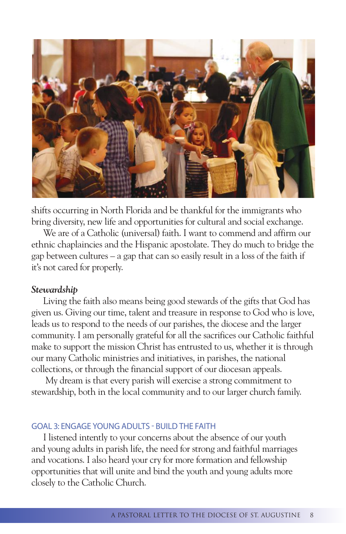

shifts occurring in North Florida and be thankful for the immigrants who bring diversity, new life and opportunities for cultural and social exchange.

We are of a Catholic (universal) faith. I want to commend and affirm our ethnic chaplaincies and the Hispanic apostolate. They do much to bridge the gap between cultures – a gap that can so easily result in a loss of the faith if it's not cared for properly.

### *Stewardship*

Living the faith also means being good stewards of the gifts that God has given us. Giving our time, talent and treasure in response to God who is love, leads us to respond to the needs of our parishes, the diocese and the larger community. I am personally grateful for all the sacrifices our Catholic faithful make to support the mission Christ has entrusted to us, whether it is through our many Catholic ministries and initiatives, in parishes, the national collections, or through the financial support of our diocesan appeals.

 My dream is that every parish will exercise a strong commitment to stewardship, both in the local community and to our larger church family.

### GOAL 3: ENGAGE YOUNG ADULTS - BUILD THE FAITH

I listened intently to your concerns about the absence of our youth and young adults in parish life, the need for strong and faithful marriages and vocations. I also heard your cry for more formation and fellowship opportunities that will unite and bind the youth and young adults more closely to the Catholic Church.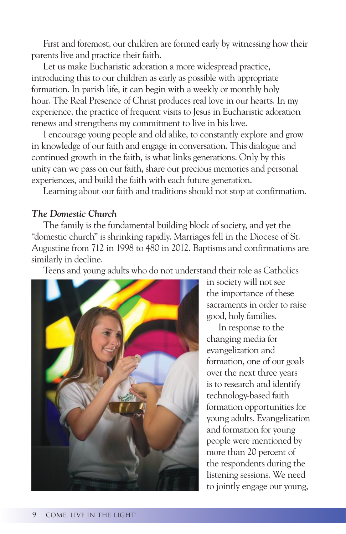First and foremost, our children are formed early by witnessing how their parents live and practice their faith.

Let us make Eucharistic adoration a more widespread practice, introducing this to our children as early as possible with appropriate formation. In parish life, it can begin with a weekly or monthly holy hour. The Real Presence of Christ produces real love in our hearts. In my experience, the practice of frequent visits to Jesus in Eucharistic adoration renews and strengthens my commitment to live in his love.

I encourage young people and old alike, to constantly explore and grow in knowledge of our faith and engage in conversation. This dialogue and continued growth in the faith, is what links generations. Only by this unity can we pass on our faith, share our precious memories and personal experiences, and build the faith with each future generation.

Learning about our faith and traditions should not stop at confirmation.

## *The Domestic Church*

The family is the fundamental building block of society, and yet the "domestic church" is shrinking rapidly. Marriages fell in the Diocese of St. Augustine from 712 in 1998 to 480 in 2012. Baptisms and confirmations are similarly in decline.

Teens and young adults who do not understand their role as Catholics



in society will not see the importance of these sacraments in order to raise good, holy families.

In response to the changing media for evangelization and formation, one of our goals over the next three years is to research and identify technology-based faith formation opportunities for young adults. Evangelization and formation for young people were mentioned by more than 20 percent of the respondents during the listening sessions. We need to jointly engage our young,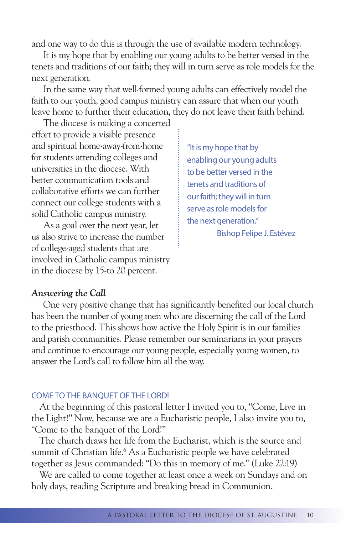and one way to do this is through the use of available modern technology.

It is my hope that by enabling our young adults to be better versed in the tenets and traditions of our faith; they will in turn serve as role models for the next generation.

In the same way that well-formed young adults can effectively model the faith to our youth, good campus ministry can assure that when our youth leave home to further their education, they do not leave their faith behind.

The diocese is making a concerted effort to provide a visible presence and spiritual home-away-from-home for students attending colleges and universities in the diocese. With better communication tools and collaborative efforts we can further connect our college students with a solid Catholic campus ministry.

As a goal over the next year, let us also strive to increase the number of college-aged students that are involved in Catholic campus ministry in the diocese by 15-to 20 percent.

"It is my hope that by enabling our young adults to be better versed in the tenets and traditions of our faith; they will in turn serve as role models for the next generation." Bishop Felipe J. Estévez

#### *Answering the Call*

One very positive change that has significantly benefited our local church has been the number of young men who are discerning the call of the Lord to the priesthood. This shows how active the Holy Spirit is in our families and parish communities. Please remember our seminarians in your prayers and continue to encourage our young people, especially young women, to answer the Lord's call to follow him all the way.

#### COME TO THE BANOUET OF THE LORD!

At the beginning of this pastoral letter I invited you to, "Come, Live in the Light!" Now, because we are a Eucharistic people, I also invite you to, "Come to the banquet of the Lord!"

The church draws her life from the Eucharist, which is the source and summit of Christian life.<sup>6</sup> As a Eucharistic people we have celebrated together as Jesus commanded: "Do this in memory of me." (Luke 22:19)

We are called to come together at least once a week on Sundays and on holy days, reading Scripture and breaking bread in Communion.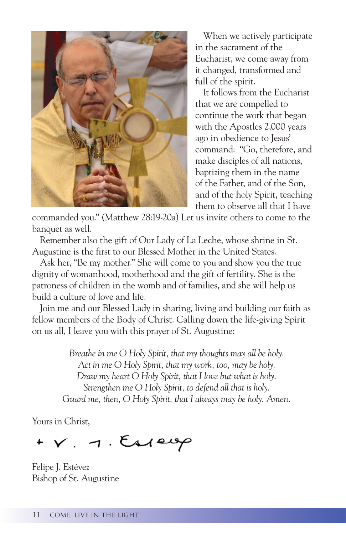

When we actively participate in the sacrament of the Eucharist, we come away from it changed, transformed and full of the spirit.

It follows from the Eucharist that we are compelled to continue the work that began with the Apostles 2,000 years ago in obedience to Jesus' command: "Go, therefore, and make disciples of all nations, baptizing them in the name of the Father, and of the Son, and of the holy Spirit, teaching them to observe all that I have

commanded you." (Matthew 28:19-20a) Let us invite others to come to the banquet as well.

Remember also the gift of Our Lady of La Leche, whose shrine in St. Augustine is the first to our Blessed Mother in the United States.

Ask her, "Be my mother." She will come to you and show you the true dignity of womanhood, motherhood and the gift of fertility. She is the patroness of children in the womb and of families, and she will help us build a culture of love and life.

Join me and our Blessed Lady in sharing, living and building our faith as fellow members of the Body of Christ. Calling down the life-giving Spirit on us all, I leave you with this prayer of St. Augustine:

> *Breathe in me O Holy Spirit, that my thoughts may all be holy. Act in me O Holy Spirit, that my work, too, may be holy. Draw my heart O Holy Spirit, that I love but what is holy. Strengthen me O Holy Spirit, to defend all that is holy. Guard me, then, O Holy Spirit, that I always may be holy. Amen.*

Yours in Christ,

 $+V.7.5409$ 

Felipe J. Estévez Bishop of St. Augustine